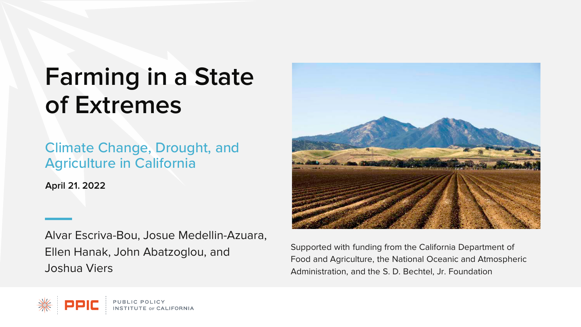# **Farming in a State of Extremes**

Climate Change, Drought, and Agriculture in California

**April 21. 2022**

Alvar Escriva-Bou, Josue Medellin-Azuara, Ellen Hanak, John Abatzoglou, and Joshua Viers



Supported with funding from the California Department of Food and Agriculture, the National Oceanic and Atmospheric Administration, and the S. D. Bechtel, Jr. Foundation

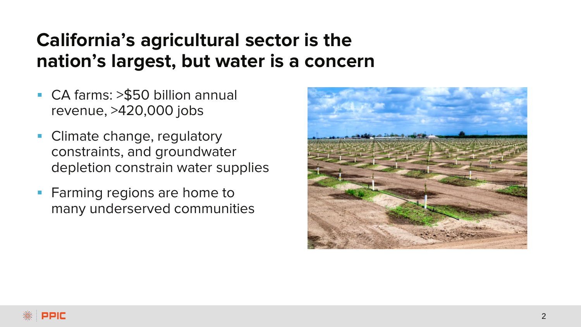## **California's agricultural sector is the nation's largest, but water is a concern**

- CA farms: >\$50 billion annual revenue, >420,000 jobs
- **Climate change, regulatory** constraints, and groundwater depletion constrain water supplies
- **Farming regions are home to** many underserved communities

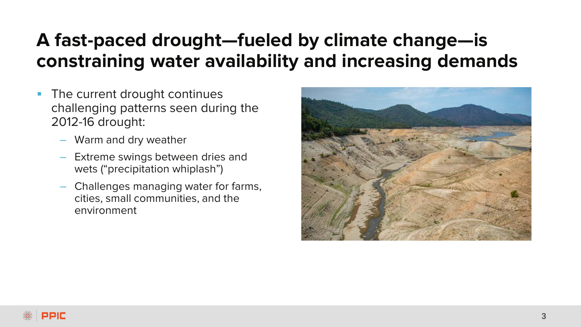## **A fast-paced drought—fueled by climate change—is constraining water availability and increasing demands**

- The current drought continues challenging patterns seen during the 2012-16 drought:
	- Warm and dry weather
	- Extreme swings between dries and wets ("precipitation whiplash")
	- Challenges managing water for farms, cities, small communities, and the environment

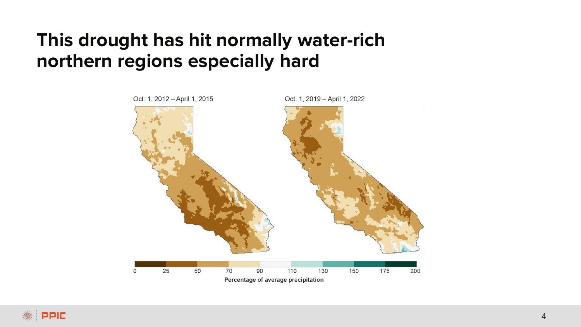#### **This drought has hit normally water-rich northern regions especially hard**

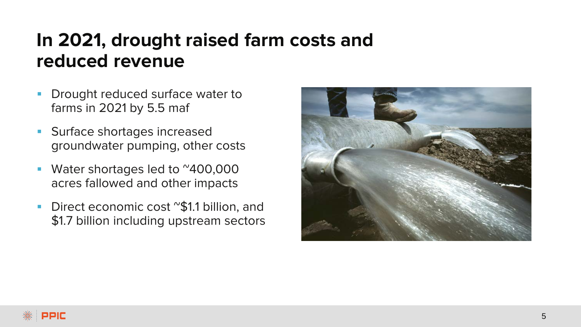## **In 2021, drought raised farm costs and reduced revenue**

- Drought reduced surface water to farms in 2021 by 5.5 maf
- **Surface shortages increased** groundwater pumping, other costs
- **Water shortages led to ~400,000** acres fallowed and other impacts
- Direct economic cost "\$1.1 billion, and \$1.7 billion including upstream sectors

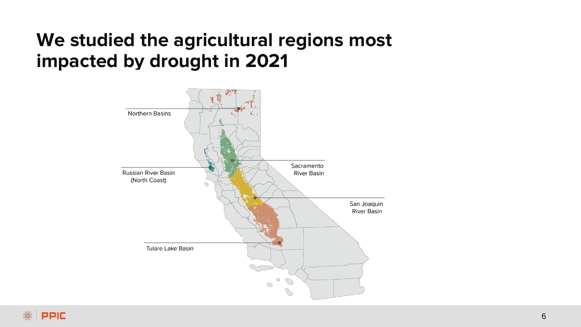#### **We studied the agricultural regions most impacted by drought in 2021**

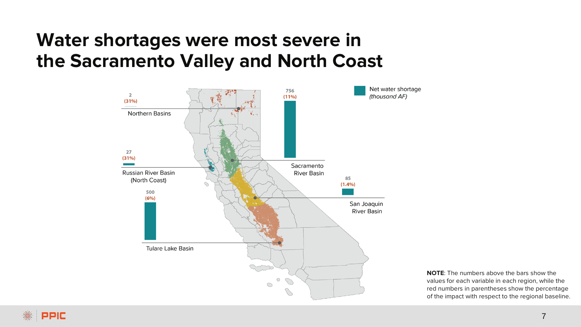#### **Water shortages were most severe in the Sacramento Valley and North Coast**



**NOTE**: The numbers above the bars show the values for each variable in each region, while the red numbers in parentheses show the percentage of the impact with respect to the regional baseline.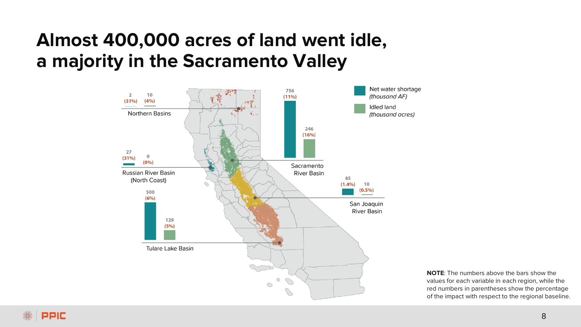#### **Almost 400,000 acres of land went idle, a majority in the Sacramento Valley**



**NOTE**: The numbers above the bars show the values for each variable in each region, while the red numbers in parentheses show the percentage of the impact with respect to the regional baseline.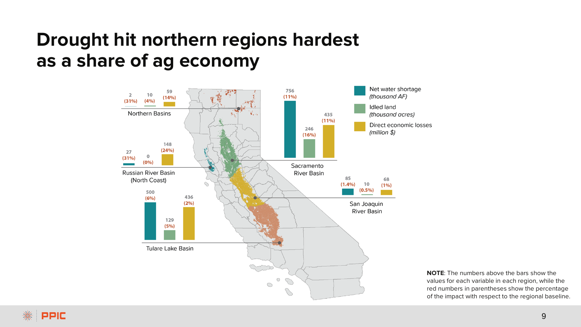#### **Drought hit northern regions hardest as a share of ag economy**



**NOTE**: The numbers above the bars show the values for each variable in each region, while the red numbers in parentheses show the percentage of the impact with respect to the regional baseline.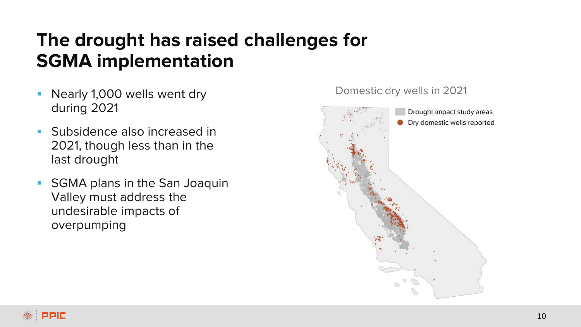## **The drought has raised challenges for SGMA implementation**

- Nearly 1,000 wells went dry during 2021
- **Subsidence also increased in** 2021, though less than in the last drought
- **SGMA** plans in the San Joaquin Valley must address the undesirable impacts of overpumping



#### Domestic dry wells in 2021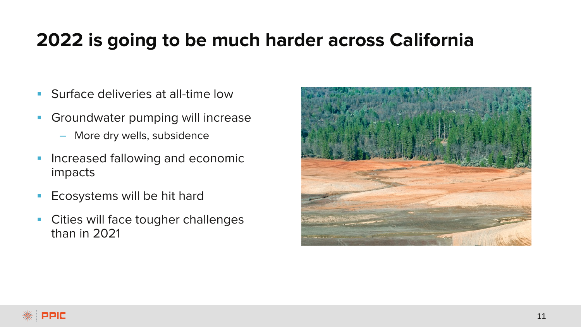#### **2022 is going to be much harder across California**

- **Surface deliveries at all-time low**
- **Groundwater pumping will increase** 
	- More dry wells, subsidence
- **Increased fallowing and economic** impacts
- **Ecosystems will be hit hard**
- Cities will face tougher challenges than in 2021

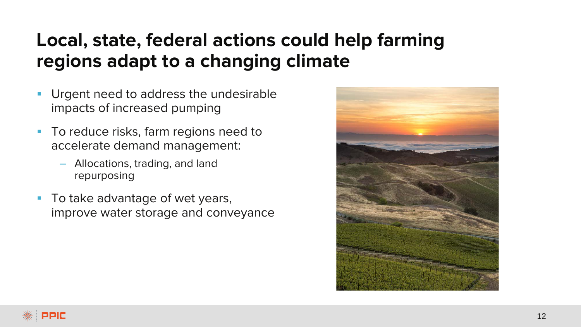## **Local, state, federal actions could help farming regions adapt to a changing climate**

- Urgent need to address the undesirable impacts of increased pumping
- **To reduce risks, farm regions need to** accelerate demand management:
	- Allocations, trading, and land repurposing
- **To take advantage of wet years,** improve water storage and conveyance